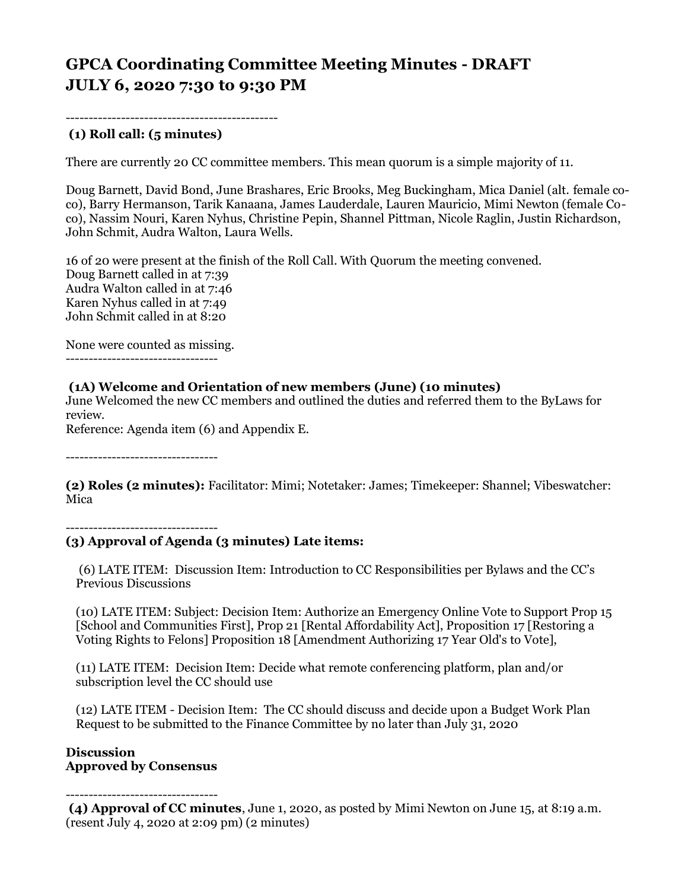# **GPCA Coordinating Committee Meeting Minutes - DRAFT JULY 6, 2020 7:30 to 9:30 PM**

----------------------------------------------

### **(1) Roll call: (5 minutes)**

There are currently 20 CC committee members. This mean quorum is a simple majority of 11.

Doug Barnett, David Bond, June Brashares, Eric Brooks, Meg Buckingham, Mica Daniel (alt. female coco), Barry Hermanson, Tarik Kanaana, James Lauderdale, Lauren Mauricio, Mimi Newton (female Coco), Nassim Nouri, Karen Nyhus, Christine Pepin, Shannel Pittman, Nicole Raglin, Justin Richardson, John Schmit, Audra Walton, Laura Wells.

16 of 20 were present at the finish of the Roll Call. With Quorum the meeting convened. Doug Barnett called in at 7:39 Audra Walton called in at 7:46 Karen Nyhus called in at 7:49 John Schmit called in at 8:20

None were counted as missing. ---------------------------------

#### **(1A) Welcome and Orientation of new members (June) (10 minutes)**

June Welcomed the new CC members and outlined the duties and referred them to the ByLaws for review.

Reference: Agenda item (6) and Appendix E.

---------------------------------

**(2) Roles (2 minutes):** Facilitator: Mimi; Notetaker: James; Timekeeper: Shannel; Vibeswatcher: Mica

---------------------------------

#### **(3) Approval of Agenda (3 minutes) Late items:**

(6) LATE ITEM: Discussion Item: Introduction to CC Responsibilities per Bylaws and the CC's Previous Discussions

(10) LATE ITEM: Subject: Decision Item: Authorize an Emergency Online Vote to Support Prop 15 [School and Communities First], Prop 21 [Rental Affordability Act], Proposition 17 [Restoring a Voting Rights to Felons] Proposition 18 [Amendment Authorizing 17 Year Old's to Vote],

(11) LATE ITEM: Decision Item: Decide what remote conferencing platform, plan and/or subscription level the CC should use

(12) LATE ITEM - Decision Item: The CC should discuss and decide upon a Budget Work Plan Request to be submitted to the Finance Committee by no later than July 31, 2020

#### **Discussion Approved by Consensus**

---------------------------------

**(4) Approval of CC minutes**, June 1, 2020, as posted by Mimi Newton on June 15, at 8:19 a.m. (resent July 4, 2020 at 2:09 pm) (2 minutes)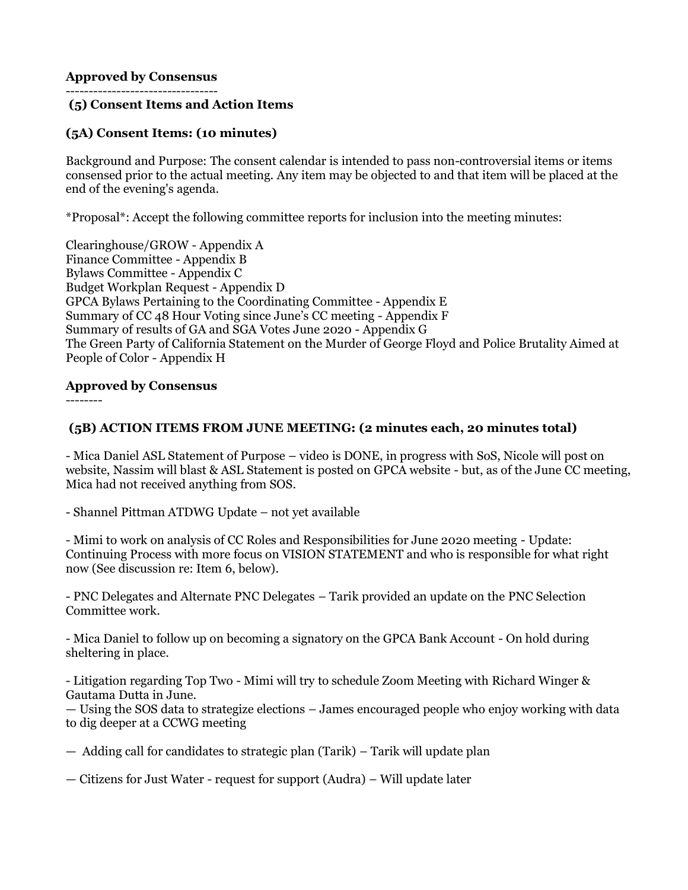### **Approved by Consensus**

#### --------------------------------- **(5) Consent Items and Action Items**

### **(5A) Consent Items: (10 minutes)**

Background and Purpose: The consent calendar is intended to pass non-controversial items or items consensed prior to the actual meeting. Any item may be objected to and that item will be placed at the end of the evening's agenda.

\*Proposal\*: Accept the following committee reports for inclusion into the meeting minutes:

Clearinghouse/GROW - Appendix A Finance Committee - Appendix B Bylaws Committee - Appendix C Budget Workplan Request - Appendix D GPCA Bylaws Pertaining to the Coordinating Committee - Appendix E Summary of CC 48 Hour Voting since June's CC meeting - Appendix F Summary of results of GA and SGA Votes June 2020 - Appendix G The Green Party of California Statement on the Murder of George Floyd and Police Brutality Aimed at People of Color - Appendix H

### **Approved by Consensus**

--------

### **(5B) ACTION ITEMS FROM JUNE MEETING: (2 minutes each, 20 minutes total)**

- Mica Daniel ASL Statement of Purpose – video is DONE, in progress with SoS, Nicole will post on website, Nassim will blast & ASL Statement is posted on GPCA website - but, as of the June CC meeting, Mica had not received anything from SOS.

- Shannel Pittman ATDWG Update – not yet available

- Mimi to work on analysis of CC Roles and Responsibilities for June 2020 meeting - Update: Continuing Process with more focus on VISION STATEMENT and who is responsible for what right now (See discussion re: Item 6, below).

- PNC Delegates and Alternate PNC Delegates – Tarik provided an update on the PNC Selection Committee work.

- Mica Daniel to follow up on becoming a signatory on the GPCA Bank Account - On hold during sheltering in place.

- Litigation regarding Top Two - Mimi will try to schedule Zoom Meeting with Richard Winger & Gautama Dutta in June.

— Using the SOS data to strategize elections – James encouraged people who enjoy working with data to dig deeper at a CCWG meeting

— Adding call for candidates to strategic plan (Tarik) – Tarik will update plan

— Citizens for Just Water - request for support (Audra) – Will update later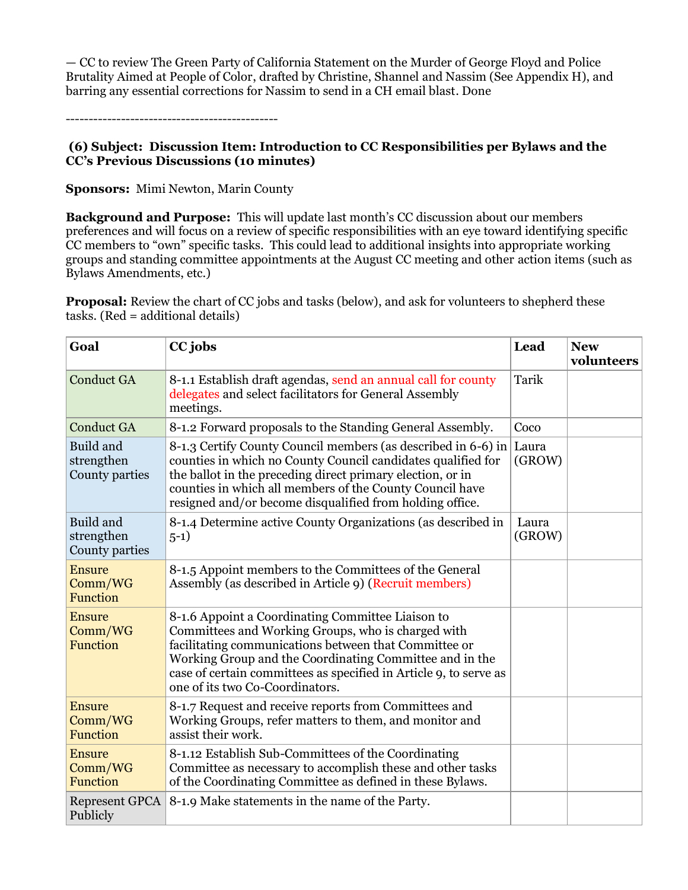— CC to review The Green Party of California Statement on the Murder of George Floyd and Police Brutality Aimed at People of Color, drafted by Christine, Shannel and Nassim (See Appendix H), and barring any essential corrections for Nassim to send in a CH email blast. Done

----------------------------------------------

#### **(6) Subject: Discussion Item: Introduction to CC Responsibilities per Bylaws and the CC's Previous Discussions (10 minutes)**

**Sponsors:** Mimi Newton, Marin County

**Background and Purpose:** This will update last month's CC discussion about our members preferences and will focus on a review of specific responsibilities with an eye toward identifying specific CC members to "own" specific tasks. This could lead to additional insights into appropriate working groups and standing committee appointments at the August CC meeting and other action items (such as Bylaws Amendments, etc.)

**Proposal:** Review the chart of CC jobs and tasks (below), and ask for volunteers to shepherd these tasks. (Red = additional details)

| Goal                                        | CC jobs                                                                                                                                                                                                                                                                                                                             | Lead            | <b>New</b><br>volunteers |
|---------------------------------------------|-------------------------------------------------------------------------------------------------------------------------------------------------------------------------------------------------------------------------------------------------------------------------------------------------------------------------------------|-----------------|--------------------------|
| <b>Conduct GA</b>                           | 8-1.1 Establish draft agendas, send an annual call for county<br>delegates and select facilitators for General Assembly<br>meetings.                                                                                                                                                                                                | Tarik           |                          |
| <b>Conduct GA</b>                           | 8-1.2 Forward proposals to the Standing General Assembly.                                                                                                                                                                                                                                                                           | Coco            |                          |
| Build and<br>strengthen<br>County parties   | 8-1.3 Certify County Council members (as described in 6-6) in<br>counties in which no County Council candidates qualified for<br>the ballot in the preceding direct primary election, or in<br>counties in which all members of the County Council have<br>resigned and/or become disqualified from holding office.                 | Laura<br>(GROW) |                          |
| Build and<br>strengthen<br>County parties   | 8-1.4 Determine active County Organizations (as described in<br>$5-1)$                                                                                                                                                                                                                                                              | Laura<br>(GROW) |                          |
| <b>Ensure</b><br>Comm/WG<br>Function        | 8-1.5 Appoint members to the Committees of the General<br>Assembly (as described in Article 9) (Recruit members)                                                                                                                                                                                                                    |                 |                          |
| <b>Ensure</b><br>Comm/WG<br><b>Function</b> | 8-1.6 Appoint a Coordinating Committee Liaison to<br>Committees and Working Groups, who is charged with<br>facilitating communications between that Committee or<br>Working Group and the Coordinating Committee and in the<br>case of certain committees as specified in Article 9, to serve as<br>one of its two Co-Coordinators. |                 |                          |
| <b>Ensure</b><br>Comm/WG<br>Function        | 8-1.7 Request and receive reports from Committees and<br>Working Groups, refer matters to them, and monitor and<br>assist their work.                                                                                                                                                                                               |                 |                          |
| <b>Ensure</b><br>Comm/WG<br>Function        | 8-1.12 Establish Sub-Committees of the Coordinating<br>Committee as necessary to accomplish these and other tasks<br>of the Coordinating Committee as defined in these Bylaws.                                                                                                                                                      |                 |                          |
| <b>Represent GPCA</b><br>Publicly           | 8-1.9 Make statements in the name of the Party.                                                                                                                                                                                                                                                                                     |                 |                          |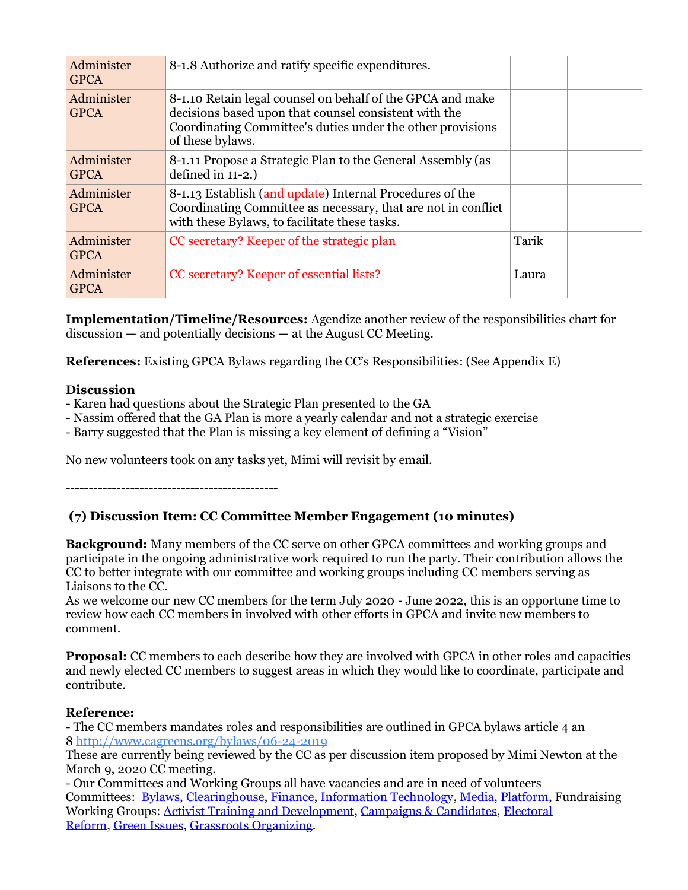| Administer<br><b>GPCA</b> | 8-1.8 Authorize and ratify specific expenditures.                                                                                                                                                     |       |  |
|---------------------------|-------------------------------------------------------------------------------------------------------------------------------------------------------------------------------------------------------|-------|--|
| Administer<br><b>GPCA</b> | 8-1.10 Retain legal counsel on behalf of the GPCA and make<br>decisions based upon that counsel consistent with the<br>Coordinating Committee's duties under the other provisions<br>of these bylaws. |       |  |
| Administer<br><b>GPCA</b> | 8-1.11 Propose a Strategic Plan to the General Assembly (as<br>defined in 11-2.)                                                                                                                      |       |  |
| Administer<br><b>GPCA</b> | 8-1.13 Establish (and update) Internal Procedures of the<br>Coordinating Committee as necessary, that are not in conflict<br>with these Bylaws, to facilitate these tasks.                            |       |  |
| Administer<br><b>GPCA</b> | CC secretary? Keeper of the strategic plan                                                                                                                                                            | Tarik |  |
| Administer<br><b>GPCA</b> | CC secretary? Keeper of essential lists?                                                                                                                                                              | Laura |  |

**Implementation/Timeline/Resources:** Agendize another review of the responsibilities chart for discussion — and potentially decisions — at the August CC Meeting.

**References:** Existing GPCA Bylaws regarding the CC's Responsibilities: (See Appendix E)

### **Discussion**

- Karen had questions about the Strategic Plan presented to the GA
- Nassim offered that the GA Plan is more a yearly calendar and not a strategic exercise
- Barry suggested that the Plan is missing a key element of defining a "Vision"

No new volunteers took on any tasks yet, Mimi will revisit by email.

----------------------------------------------

### **(7) Discussion Item: CC Committee Member Engagement (10 minutes)**

**Background:** Many members of the CC serve on other GPCA committees and working groups and participate in the ongoing administrative work required to run the party. Their contribution allows the CC to better integrate with our committee and working groups including CC members serving as Liaisons to the CC.

As we welcome our new CC members for the term July 2020 - June 2022, this is an opportune time to review how each CC members in involved with other efforts in GPCA and invite new members to comment.

**Proposal:** CC members to each describe how they are involved with GPCA in other roles and capacities and newly elected CC members to suggest areas in which they would like to coordinate, participate and contribute.

### **Reference:**

- The CC members mandates roles and responsibilities are outlined in GPCA bylaws article 4 an 8 <http://www.cagreens.org/bylaws/06-24-2019>

These are currently being reviewed by the CC as per discussion item proposed by Mimi Newton at the March 9, 2020 CC meeting.

- Our Committees and Working Groups all have vacancies and are in need of volunteers Committees: [Bylaws,](http://www.cagreens.org/committees/bylaws) [Clearinghouse,](http://www.cagreens.org/committees/clearinghouse) [Finance,](http://www.cagreens.org/committees/finance) [Information Technology,](http://www.cagreens.org/committees/it) [Media,](http://www.cagreens.org/committees/media) [Platform,](http://www.cagreens.org/committees/platform) Fundraising Working Groups: [Activist Training and Development,](http://www.cagreens.org/workinggroups/activist-training-and-development) [Campaigns & Candidates,](http://www.cagreens.org/workinggroups/campaigns-candidates) [Electoral](http://www.cagreens.org/workinggroups/electoral-reform)  [Reform,](http://www.cagreens.org/workinggroups/electoral-reform) [Green Issues,](http://www.cagreens.org/workinggroups/green-issues) [Grassroots Organizing.](http://www.cagreens.org/workinggroups/grassroots-organizing)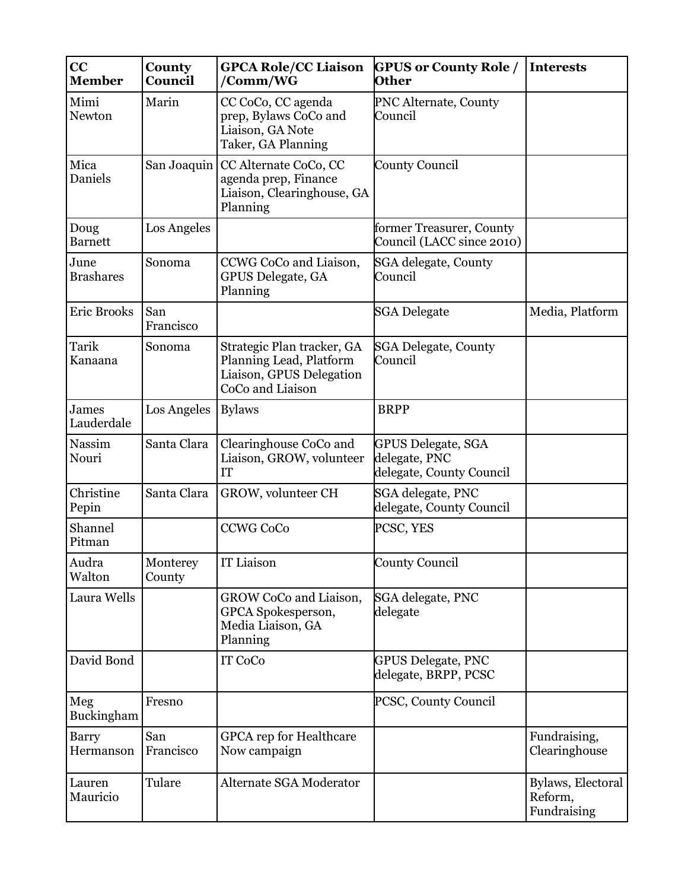| CC<br><b>Member</b>      | County<br>Council  | <b>GPCA Role/CC Liaison</b><br>/Comm/WG                                                               | <b>GPUS or County Role /</b><br><b>Other</b>                           | <b>Interests</b>                            |
|--------------------------|--------------------|-------------------------------------------------------------------------------------------------------|------------------------------------------------------------------------|---------------------------------------------|
| Mimi<br>Newton           | Marin              | CC CoCo, CC agenda<br>prep, Bylaws CoCo and<br>Liaison, GA Note<br>Taker, GA Planning                 | PNC Alternate, County<br>Council                                       |                                             |
| Mica<br>Daniels          |                    | San Joaquin   CC Alternate CoCo, CC<br>agenda prep, Finance<br>Liaison, Clearinghouse, GA<br>Planning | <b>County Council</b>                                                  |                                             |
| Doug<br><b>Barnett</b>   | Los Angeles        |                                                                                                       | former Treasurer, County<br>Council (LACC since 2010)                  |                                             |
| June<br><b>Brashares</b> | Sonoma             | CCWG CoCo and Liaison,<br><b>GPUS Delegate, GA</b><br>Planning                                        | SGA delegate, County<br>Council                                        |                                             |
| <b>Eric Brooks</b>       | San<br>Francisco   |                                                                                                       | <b>SGA Delegate</b>                                                    | Media, Platform                             |
| Tarik<br>Kanaana         | Sonoma             | Strategic Plan tracker, GA<br>Planning Lead, Platform<br>Liaison, GPUS Delegation<br>CoCo and Liaison | <b>SGA Delegate, County</b><br>Council                                 |                                             |
| James<br>Lauderdale      | Los Angeles        | <b>Bylaws</b>                                                                                         | <b>BRPP</b>                                                            |                                             |
| Nassim<br>Nouri          | Santa Clara        | Clearinghouse CoCo and<br>Liaison, GROW, volunteer<br>IT                                              | <b>GPUS Delegate, SGA</b><br>delegate, PNC<br>delegate, County Council |                                             |
| Christine<br>Pepin       | Santa Clara        | GROW, volunteer CH                                                                                    | SGA delegate, PNC<br>delegate, County Council                          |                                             |
| Shannel<br>Pitman        |                    | <b>CCWG CoCo</b>                                                                                      | PCSC, YES                                                              |                                             |
| Audra<br>Walton          | Monterey<br>County | IT Liaison                                                                                            | <b>County Council</b>                                                  |                                             |
| Laura Wells              |                    | GROW CoCo and Liaison,<br>GPCA Spokesperson,<br>Media Liaison, GA<br>Planning                         | SGA delegate, PNC<br>delegate                                          |                                             |
| David Bond               |                    | IT CoCo                                                                                               | <b>GPUS Delegate, PNC</b><br>delegate, BRPP, PCSC                      |                                             |
| Meg<br>Buckingham        | Fresno             |                                                                                                       | PCSC, County Council                                                   |                                             |
| Barry<br>Hermanson       | San<br>Francisco   | <b>GPCA</b> rep for Healthcare<br>Now campaign                                                        |                                                                        | Fundraising,<br>Clearinghouse               |
| Lauren<br>Mauricio       | Tulare             | Alternate SGA Moderator                                                                               |                                                                        | Bylaws, Electoral<br>Reform,<br>Fundraising |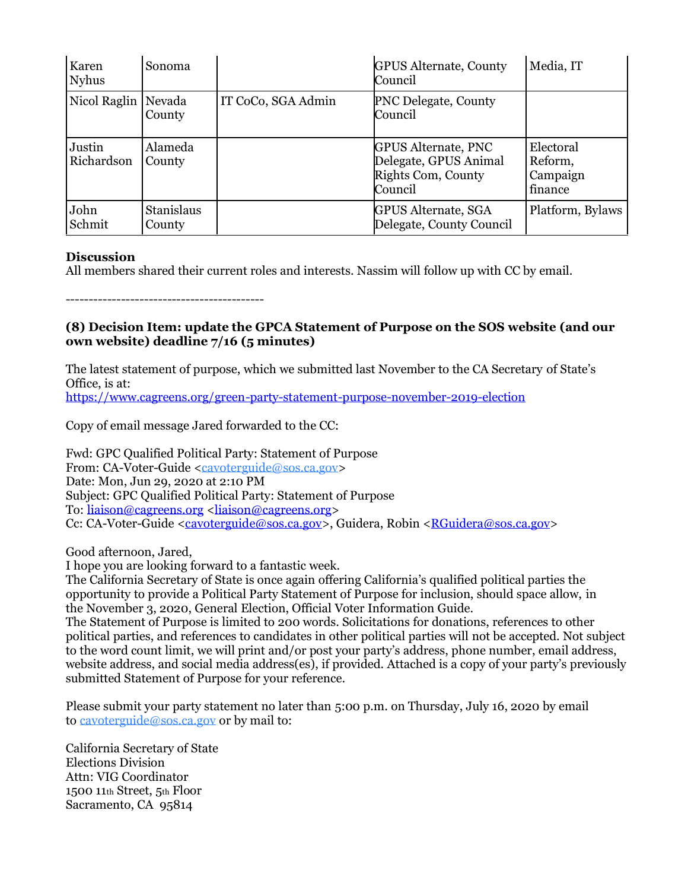| Karen<br><b>Nyhus</b> | Sonoma                      |                    | <b>GPUS Alternate, County</b><br>Council                                             | Media, IT                                   |
|-----------------------|-----------------------------|--------------------|--------------------------------------------------------------------------------------|---------------------------------------------|
| Nicol Raglin          | Nevada<br>County            | IT CoCo, SGA Admin | PNC Delegate, County<br>Council                                                      |                                             |
| Justin<br>Richardson  | Alameda<br>County           |                    | <b>GPUS Alternate, PNC</b><br>Delegate, GPUS Animal<br>Rights Com, County<br>Council | Electoral<br>Reform,<br>Campaign<br>finance |
| John<br>Schmit        | <b>Stanislaus</b><br>County |                    | <b>GPUS Alternate, SGA</b><br>Delegate, County Council                               | Platform, Bylaws                            |

### **Discussion**

All members shared their current roles and interests. Nassim will follow up with CC by email.

-------------------------------------------

### **(8) Decision Item: update the GPCA Statement of Purpose on the SOS website (and our own website) deadline 7/16 (5 minutes)**

The latest statement of purpose, which we submitted last November to the CA Secretary of State's Office, is at:

<https://www.cagreens.org/green-party-statement-purpose-november-2019-election>

Copy of email message Jared forwarded to the CC:

Fwd: GPC Qualified Political Party: Statement of Purpose From: CA-Voter-Guide [<cavoterguide@sos.ca.gov>](mailto:cavoterguide@sos.ca.gov) Date: Mon, Jun 29, 2020 at 2:10 PM Subject: GPC Qualified Political Party: Statement of Purpose To: [liaison@cagreens.org](mailto:liaison@cagreens.org) [<liaison@cagreens.org>](mailto:liaison@cagreens.org) Cc: CA-Voter-Guide [<cavoterguide@sos.ca.gov>](mailto:cavoterguide@sos.ca.gov), Guidera, Robin [<RGuidera@sos.ca.gov>](mailto:RGuidera@sos.ca.gov)

Good afternoon, Jared,

I hope you are looking forward to a fantastic week.

The California Secretary of State is once again offering California's qualified political parties the opportunity to provide a Political Party Statement of Purpose for inclusion, should space allow, in the November 3, 2020, General Election, Official Voter Information Guide.

The Statement of Purpose is limited to 200 words. Solicitations for donations, references to other political parties, and references to candidates in other political parties will not be accepted. Not subject to the word count limit, we will print and/or post your party's address, phone number, email address, website address, and social media address(es), if provided. Attached is a copy of your party's previously submitted Statement of Purpose for your reference.

Please submit your party statement no later than 5:00 p.m. on Thursday, July 16, 2020 by email to [cavoterguide@sos.ca.gov](mailto:cavoterguide@sos.ca.gov) or by mail to:

California Secretary of State Elections Division Attn: VIG Coordinator 1500 11th Street, 5th Floor Sacramento, CA 95814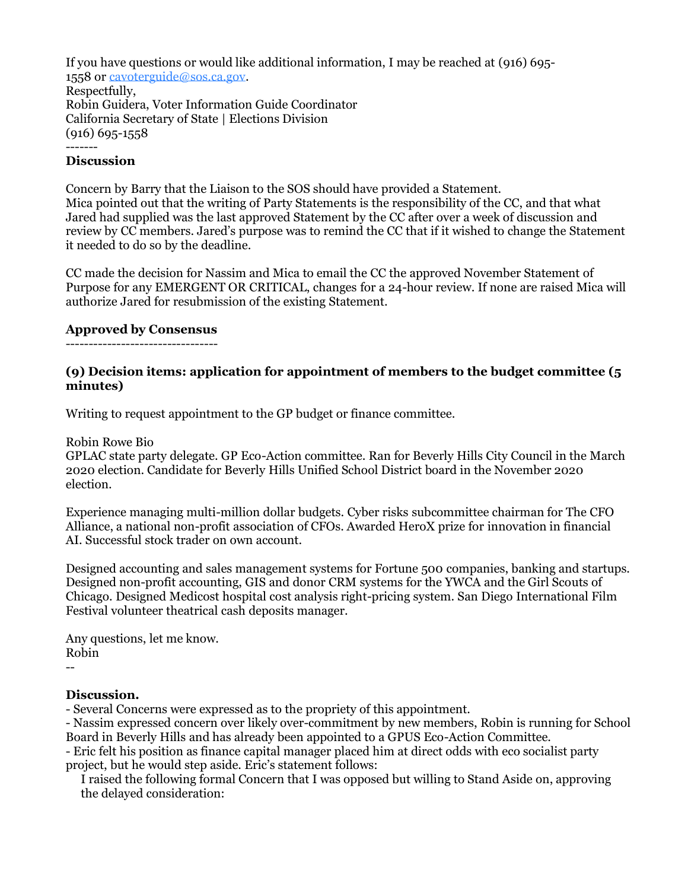If you have questions or would like additional information, I may be reached at (916) 695- 1558 or [cavoterguide@sos.ca.gov.](mailto:cavoterguide@sos.ca.gov) Respectfully, Robin Guidera, Voter Information Guide Coordinator California Secretary of State | Elections Division (916) 695-1558 -------

### **Discussion**

Concern by Barry that the Liaison to the SOS should have provided a Statement. Mica pointed out that the writing of Party Statements is the responsibility of the CC, and that what Jared had supplied was the last approved Statement by the CC after over a week of discussion and review by CC members. Jared's purpose was to remind the CC that if it wished to change the Statement it needed to do so by the deadline.

CC made the decision for Nassim and Mica to email the CC the approved November Statement of Purpose for any EMERGENT OR CRITICAL, changes for a 24-hour review. If none are raised Mica will authorize Jared for resubmission of the existing Statement.

### **Approved by Consensus**

---------------------------------

### **(9) Decision items: application for appointment of members to the budget committee (5 minutes)**

Writing to request appointment to the GP budget or finance committee.

Robin Rowe Bio

GPLAC state party delegate. GP Eco-Action committee. Ran for Beverly Hills City Council in the March 2020 election. Candidate for Beverly Hills Unified School District board in the November 2020 election.

Experience managing multi-million dollar budgets. Cyber risks subcommittee chairman for The CFO Alliance, a national non-profit association of CFOs. Awarded HeroX prize for innovation in financial AI. Successful stock trader on own account.

Designed accounting and sales management systems for Fortune 500 companies, banking and startups. Designed non-profit accounting, GIS and donor CRM systems for the YWCA and the Girl Scouts of Chicago. Designed Medicost hospital cost analysis right-pricing system. San Diego International Film Festival volunteer theatrical cash deposits manager.

Any questions, let me know. Robin

#### --

### **Discussion.**

- Several Concerns were expressed as to the propriety of this appointment.

- Nassim expressed concern over likely over-commitment by new members, Robin is running for School Board in Beverly Hills and has already been appointed to a GPUS Eco-Action Committee.

- Eric felt his position as finance capital manager placed him at direct odds with eco socialist party project, but he would step aside. Eric's statement follows:

I raised the following formal Concern that I was opposed but willing to Stand Aside on, approving the delayed consideration: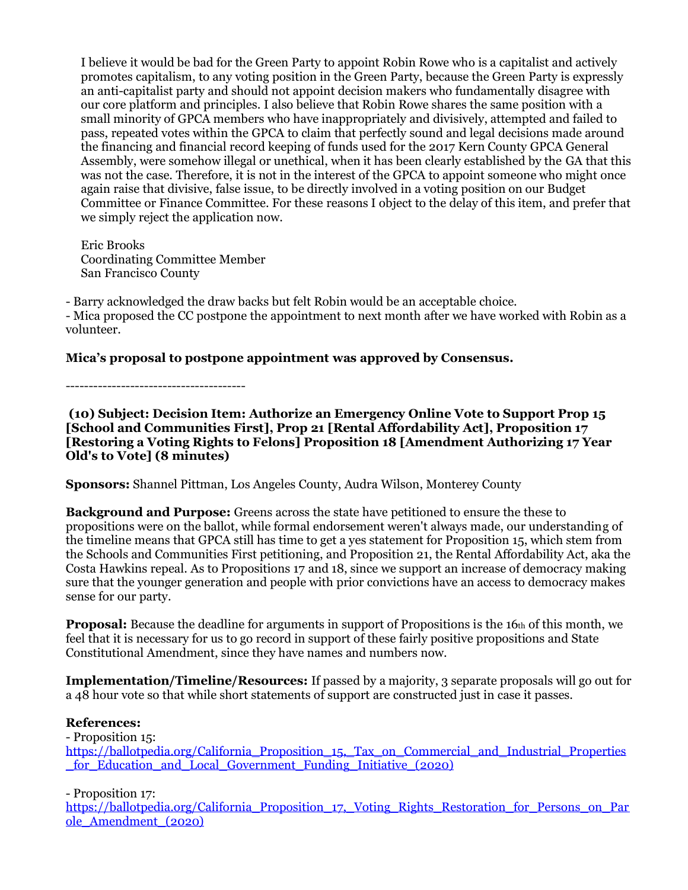I believe it would be bad for the Green Party to appoint Robin Rowe who is a capitalist and actively promotes capitalism, to any voting position in the Green Party, because the Green Party is expressly an anti-capitalist party and should not appoint decision makers who fundamentally disagree with our core platform and principles. I also believe that Robin Rowe shares the same position with a small minority of GPCA members who have inappropriately and divisively, attempted and failed to pass, repeated votes within the GPCA to claim that perfectly sound and legal decisions made around the financing and financial record keeping of funds used for the 2017 Kern County GPCA General Assembly, were somehow illegal or unethical, when it has been clearly established by the GA that this was not the case. Therefore, it is not in the interest of the GPCA to appoint someone who might once again raise that divisive, false issue, to be directly involved in a voting position on our Budget Committee or Finance Committee. For these reasons I object to the delay of this item, and prefer that we simply reject the application now.

Eric Brooks Coordinating Committee Member San Francisco County

- Barry acknowledged the draw backs but felt Robin would be an acceptable choice. - Mica proposed the CC postpone the appointment to next month after we have worked with Robin as a volunteer.

**Mica's proposal to postpone appointment was approved by Consensus.**

---------------------------------------

**(10) Subject: Decision Item: Authorize an Emergency Online Vote to Support Prop 15 [School and Communities First], Prop 21 [Rental Affordability Act], Proposition 17 [Restoring a Voting Rights to Felons] Proposition 18 [Amendment Authorizing 17 Year Old's to Vote] (8 minutes)**

**Sponsors:** Shannel Pittman, Los Angeles County, Audra Wilson, Monterey County

**Background and Purpose:** Greens across the state have petitioned to ensure the these to propositions were on the ballot, while formal endorsement weren't always made, our understanding of the timeline means that GPCA still has time to get a yes statement for Proposition 15, which stem from the Schools and Communities First petitioning, and Proposition 21, the Rental Affordability Act, aka the Costa Hawkins repeal. As to Propositions 17 and 18, since we support an increase of democracy making sure that the younger generation and people with prior convictions have an access to democracy makes sense for our party.

**Proposal:** Because the deadline for arguments in support of Propositions is the 16th of this month, we feel that it is necessary for us to go record in support of these fairly positive propositions and State Constitutional Amendment, since they have names and numbers now.

**Implementation/Timeline/Resources:** If passed by a majority, 3 separate proposals will go out for a 48 hour vote so that while short statements of support are constructed just in case it passes.

### **References:**

- Proposition 15:

https://ballotpedia.org/California Proposition 15, Tax on Commercial and Industrial Properties [\\_for\\_Education\\_and\\_Local\\_Government\\_Funding\\_Initiative\\_\(2020\)](https://ballotpedia.org/California_Proposition_15,_Tax_on_Commercial_and_Industrial_Properties_for_Education_and_Local_Government_Funding_Initiative_(2020))

- Proposition 17:

[https://ballotpedia.org/California\\_Proposition\\_17,\\_Voting\\_Rights\\_Restoration\\_for\\_Persons\\_on\\_Par](https://ballotpedia.org/California_Proposition_17,_Voting_Rights_Restoration_for_Persons_on_Parole_Amendment_(2020)) [ole\\_Amendment\\_\(2020\)](https://ballotpedia.org/California_Proposition_17,_Voting_Rights_Restoration_for_Persons_on_Parole_Amendment_(2020))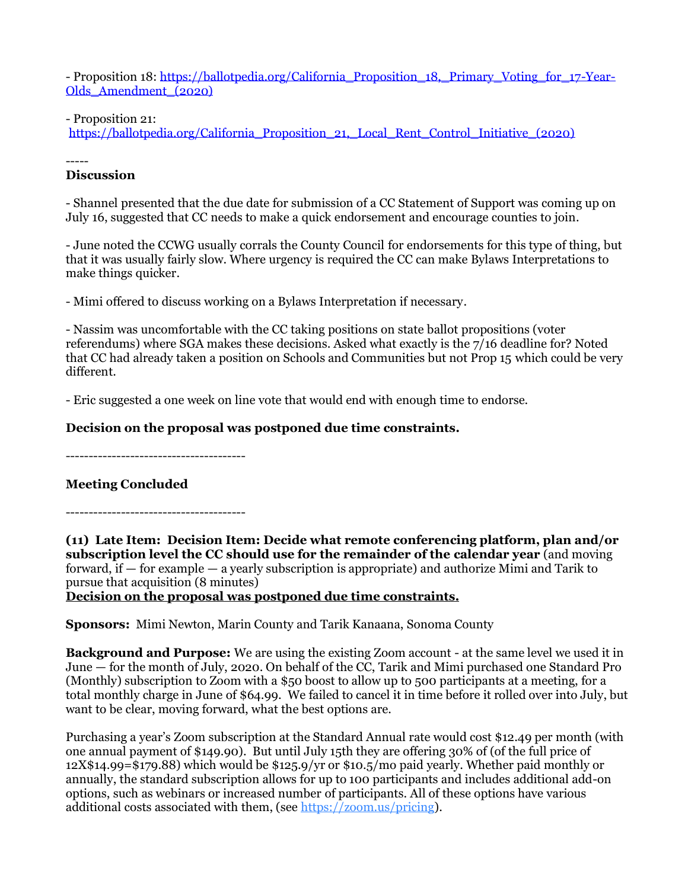- Proposition 18: [https://ballotpedia.org/California\\_Proposition\\_18,\\_Primary\\_Voting\\_for\\_17-Year-](https://ballotpedia.org/California_Proposition_18,_Primary_Voting_for_17-Year-Olds_Amendment_(2020))[Olds\\_Amendment\\_\(2020\)](https://ballotpedia.org/California_Proposition_18,_Primary_Voting_for_17-Year-Olds_Amendment_(2020))

- Proposition 21:

[https://ballotpedia.org/California\\_Proposition\\_21,\\_Local\\_Rent\\_Control\\_Initiative\\_\(2020\)](https://ballotpedia.org/California_Proposition_21,_Local_Rent_Control_Initiative_(2020))

-----

### **Discussion**

- Shannel presented that the due date for submission of a CC Statement of Support was coming up on July 16, suggested that CC needs to make a quick endorsement and encourage counties to join.

- June noted the CCWG usually corrals the County Council for endorsements for this type of thing, but that it was usually fairly slow. Where urgency is required the CC can make Bylaws Interpretations to make things quicker.

- Mimi offered to discuss working on a Bylaws Interpretation if necessary.

- Nassim was uncomfortable with the CC taking positions on state ballot propositions (voter referendums) where SGA makes these decisions. Asked what exactly is the 7/16 deadline for? Noted that CC had already taken a position on Schools and Communities but not Prop 15 which could be very different.

- Eric suggested a one week on line vote that would end with enough time to endorse.

# **Decision on the proposal was postponed due time constraints.**

---------------------------------------

# **Meeting Concluded**

**(11) Late Item: Decision Item: Decide what remote conferencing platform, plan and/or subscription level the CC should use for the remainder of the calendar year** (and moving forward, if — for example — a yearly subscription is appropriate) and authorize Mimi and Tarik to pursue that acquisition (8 minutes)

**Decision on the proposal was postponed due time constraints.**

**Sponsors:** Mimi Newton, Marin County and Tarik Kanaana, Sonoma County

**Background and Purpose:** We are using the existing Zoom account - at the same level we used it in June — for the month of July, 2020. On behalf of the CC, Tarik and Mimi purchased one Standard Pro (Monthly) subscription to Zoom with a \$50 boost to allow up to 500 participants at a meeting, for a total monthly charge in June of \$64.99. We failed to cancel it in time before it rolled over into July, but want to be clear, moving forward, what the best options are.

Purchasing a year's Zoom subscription at the Standard Annual rate would cost \$12.49 per month (with one annual payment of \$149.90). But until July 15th they are offering 30% of (of the full price of 12X\$14.99=\$179.88) which would be \$125.9/yr or \$10.5/mo paid yearly. Whether paid monthly or annually, the standard subscription allows for up to 100 participants and includes additional add-on options, such as webinars or increased number of participants. All of these options have various additional costs associated with them, (see [https://zoom.us/pricing\)](https://zoom.us/pricing).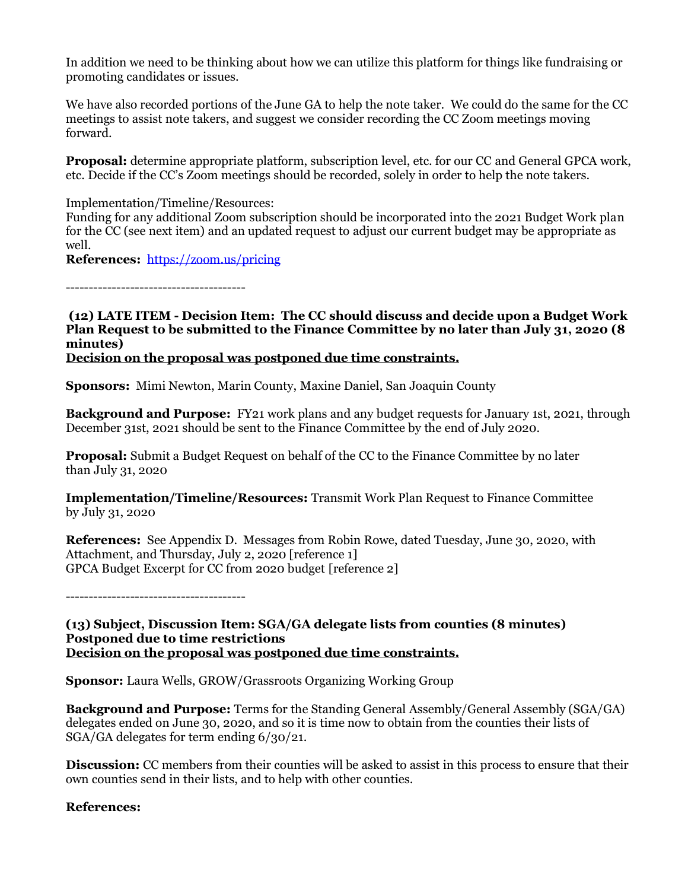In addition we need to be thinking about how we can utilize this platform for things like fundraising or promoting candidates or issues.

We have also recorded portions of the June GA to help the note taker. We could do the same for the CC meetings to assist note takers, and suggest we consider recording the CC Zoom meetings moving forward.

**Proposal:** determine appropriate platform, subscription level, etc. for our CC and General GPCA work, etc. Decide if the CC's Zoom meetings should be recorded, solely in order to help the note takers.

Implementation/Timeline/Resources:

Funding for any additional Zoom subscription should be incorporated into the 2021 Budget Work plan for the CC (see next item) and an updated request to adjust our current budget may be appropriate as well.

**References:** <https://zoom.us/pricing>

---------------------------------------

**(12) LATE ITEM - Decision Item: The CC should discuss and decide upon a Budget Work Plan Request to be submitted to the Finance Committee by no later than July 31, 2020 (8 minutes) Decision on the proposal was postponed due time constraints.**

**Sponsors:** Mimi Newton, Marin County, Maxine Daniel, San Joaquin County

**Background and Purpose:** FY21 work plans and any budget requests for January 1st, 2021, through December 31st, 2021 should be sent to the Finance Committee by the end of July 2020.

**Proposal:** Submit a Budget Request on behalf of the CC to the Finance Committee by no later than July 31, 2020

**Implementation/Timeline/Resources:** Transmit Work Plan Request to Finance Committee by July 31, 2020

**References:** See Appendix D. Messages from Robin Rowe, dated Tuesday, June 30, 2020, with Attachment, and Thursday, July 2, 2020 [reference 1] GPCA Budget Excerpt for CC from 2020 budget [reference 2]

---------------------------------------

**(13) Subject, Discussion Item: SGA/GA delegate lists from counties (8 minutes) Postponed due to time restrictions Decision on the proposal was postponed due time constraints.**

**Sponsor:** Laura Wells, GROW/Grassroots Organizing Working Group

**Background and Purpose:** Terms for the Standing General Assembly/General Assembly (SGA/GA) delegates ended on June 30, 2020, and so it is time now to obtain from the counties their lists of SGA/GA delegates for term ending 6/30/21.

**Discussion:** CC members from their counties will be asked to assist in this process to ensure that their own counties send in their lists, and to help with other counties.

# **References:**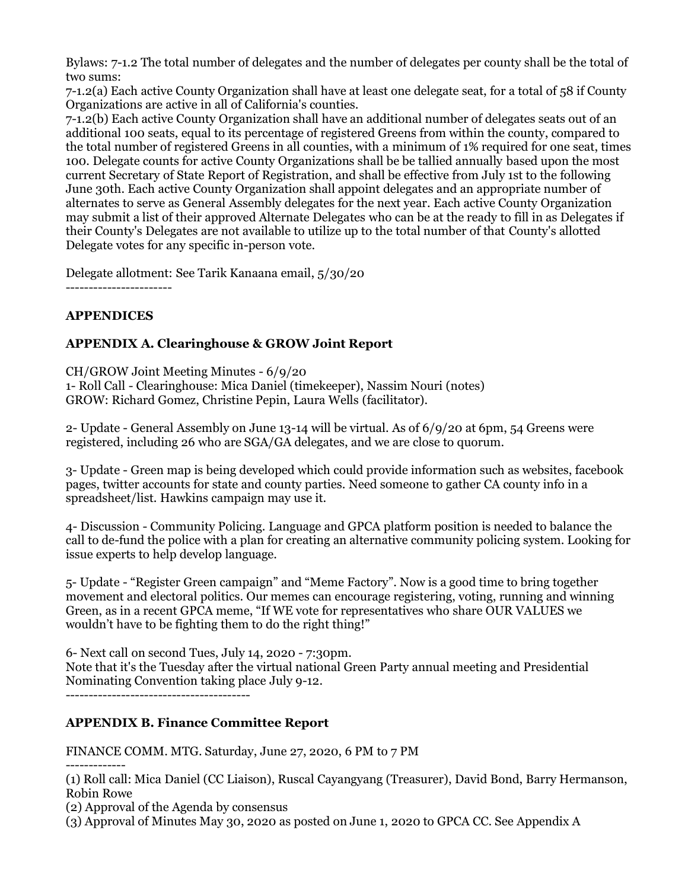Bylaws: 7-1.2 The total number of delegates and the number of delegates per county shall be the total of two sums:

7-1.2(a) Each active County Organization shall have at least one delegate seat, for a total of 58 if County Organizations are active in all of California's counties.

7-1.2(b) Each active County Organization shall have an additional number of delegates seats out of an additional 100 seats, equal to its percentage of registered Greens from within the county, compared to the total number of registered Greens in all counties, with a minimum of 1% required for one seat, times 100. Delegate counts for active County Organizations shall be be tallied annually based upon the most current Secretary of State Report of Registration, and shall be effective from July 1st to the following June 30th. Each active County Organization shall appoint delegates and an appropriate number of alternates to serve as General Assembly delegates for the next year. Each active County Organization may submit a list of their approved Alternate Delegates who can be at the ready to fill in as Delegates if their County's Delegates are not available to utilize up to the total number of that County's allotted Delegate votes for any specific in-person vote.

Delegate allotment: See Tarik Kanaana email, 5/30/20 -----------------------

### **APPENDICES**

# **APPENDIX A. Clearinghouse & GROW Joint Report**

CH/GROW Joint Meeting Minutes - 6/9/20

1- Roll Call - Clearinghouse: Mica Daniel (timekeeper), Nassim Nouri (notes) GROW: Richard Gomez, Christine Pepin, Laura Wells (facilitator).

2- Update - General Assembly on June 13-14 will be virtual. As of 6/9/20 at 6pm, 54 Greens were registered, including 26 who are SGA/GA delegates, and we are close to quorum.

3- Update - Green map is being developed which could provide information such as websites, facebook pages, twitter accounts for state and county parties. Need someone to gather CA county info in a spreadsheet/list. Hawkins campaign may use it.

4- Discussion - Community Policing. Language and GPCA platform position is needed to balance the call to de-fund the police with a plan for creating an alternative community policing system. Looking for issue experts to help develop language.

5- Update - "Register Green campaign" and "Meme Factory". Now is a good time to bring together movement and electoral politics. Our memes can encourage registering, voting, running and winning Green, as in a recent GPCA meme, "If WE vote for representatives who share OUR VALUES we wouldn't have to be fighting them to do the right thing!"

6- Next call on second Tues, July 14, 2020 - 7:30pm.

Note that it's the Tuesday after the virtual national Green Party annual meeting and Presidential Nominating Convention taking place July 9-12.

----------------------------------------

# **APPENDIX B. Finance Committee Report**

FINANCE COMM. MTG. Saturday, June 27, 2020, 6 PM to 7 PM

-------------

(1) Roll call: Mica Daniel (CC Liaison), Ruscal Cayangyang (Treasurer), David Bond, Barry Hermanson, Robin Rowe

(2) Approval of the Agenda by consensus

(3) Approval of Minutes May 30, 2020 as posted on June 1, 2020 to GPCA CC. See Appendix A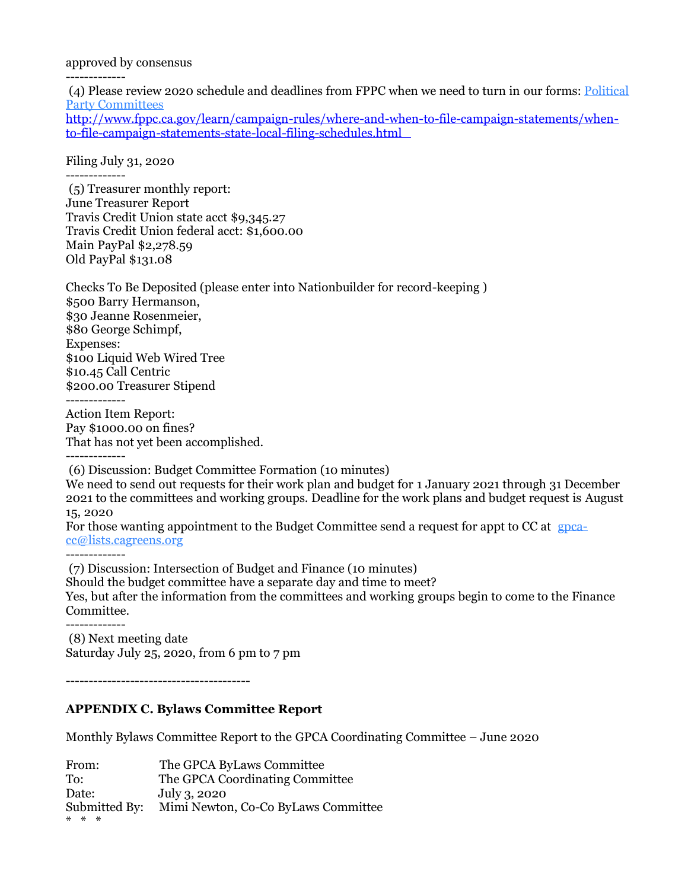approved by consensus

-------------

(4) Please review 2020 schedule and deadlines from FPPC when we need to turn in our forms: [Political](http://www.fppc.ca.gov/content/dam/fppc/NS-Documents/TAD/Filing%20Schedules/2020/2020_04_State_PP_Jan-Dec.pdf)  [Party Committees](http://www.fppc.ca.gov/content/dam/fppc/NS-Documents/TAD/Filing%20Schedules/2020/2020_04_State_PP_Jan-Dec.pdf)

[http://www.fppc.ca.gov/learn/campaign-rules/where-and-when-to-file-campaign-statements/when](http://www.fppc.ca.gov/learn/campaign-rules/where-and-when-to-file-campaign-statements/when-to-file-campaign-statements-state-local-filing-schedules.html)[to-file-campaign-statements-state-local-filing-schedules.html](http://www.fppc.ca.gov/learn/campaign-rules/where-and-when-to-file-campaign-statements/when-to-file-campaign-statements-state-local-filing-schedules.html) 

Filing July 31, 2020

------------- (5) Treasurer monthly report: June Treasurer Report Travis Credit Union state acct \$9,345.27 Travis Credit Union federal acct: \$1,600.00 Main PayPal \$2,278.59 Old PayPal \$131.08

Checks To Be Deposited (please enter into Nationbuilder for record-keeping ) \$500 Barry Hermanson, \$30 Jeanne Rosenmeier, \$80 George Schimpf, Expenses: \$100 Liquid Web Wired Tree \$10.45 Call Centric \$200.00 Treasurer Stipend -------------

Action Item Report: Pay \$1000.00 on fines? That has not yet been accomplished.

-------------

(6) Discussion: Budget Committee Formation (10 minutes)

We need to send out requests for their work plan and budget for 1 January 2021 through 31 December 2021 to the committees and working groups. Deadline for the work plans and budget request is August 15, 2020

For those wanting appointment to the Budget Committee send a request for appt to CC at [gpca](mailto:gpca-cc@lists.cagreens.org)[cc@lists.cagreens.org](mailto:gpca-cc@lists.cagreens.org) -------------

(7) Discussion: Intersection of Budget and Finance (10 minutes) Should the budget committee have a separate day and time to meet? Yes, but after the information from the committees and working groups begin to come to the Finance Committee. -------------

(8) Next meeting date Saturday July 25, 2020, from 6 pm to 7 pm

----------------------------------------

# **APPENDIX C. Bylaws Committee Report**

Monthly Bylaws Committee Report to the GPCA Coordinating Committee – June 2020

| From:         | The GPCA ByLaws Committee           |
|---------------|-------------------------------------|
| To:           | The GPCA Coordinating Committee     |
| Date:         | July 3, 2020                        |
| Submitted By: | Mimi Newton, Co-Co ByLaws Committee |
| $* * *$       |                                     |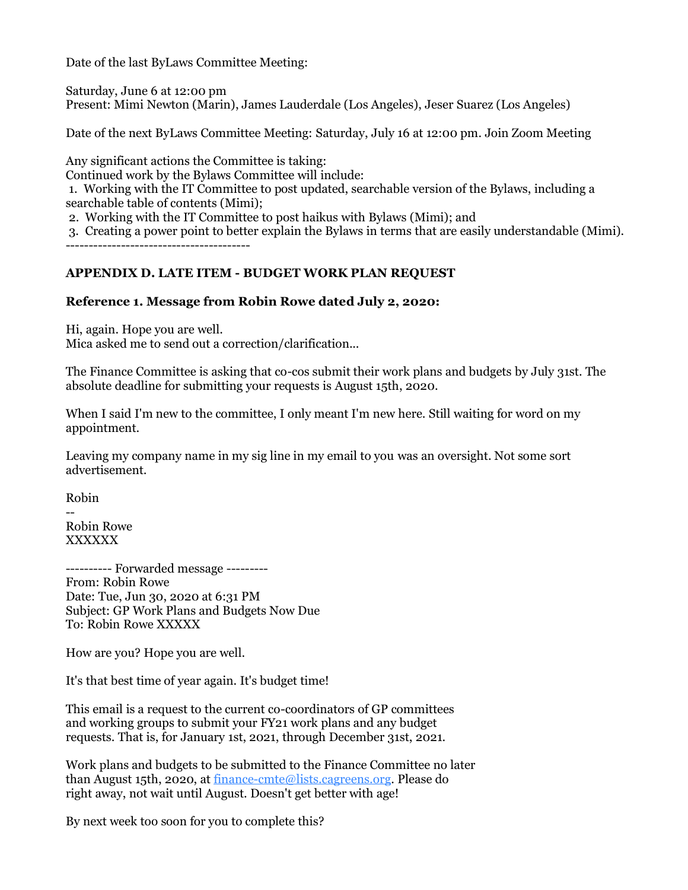Date of the last ByLaws Committee Meeting:

Saturday, June 6 at 12:00 pm Present: Mimi Newton (Marin), James Lauderdale (Los Angeles), Jeser Suarez (Los Angeles)

Date of the next ByLaws Committee Meeting: Saturday, July 16 at 12:00 pm. Join Zoom Meeting

Any significant actions the Committee is taking:

Continued work by the Bylaws Committee will include:

1. Working with the IT Committee to post updated, searchable version of the Bylaws, including a searchable table of contents (Mimi);

2. Working with the IT Committee to post haikus with Bylaws (Mimi); and

3. Creating a power point to better explain the Bylaws in terms that are easily understandable (Mimi). ----------------------------------------

### **APPENDIX D. LATE ITEM - BUDGET WORK PLAN REQUEST**

### **Reference 1. Message from Robin Rowe dated July 2, 2020:**

Hi, again. Hope you are well.

Mica asked me to send out a correction/clarification...

The Finance Committee is asking that co-cos submit their work plans and budgets by July 31st. The absolute deadline for submitting your requests is August 15th, 2020.

When I said I'm new to the committee, I only meant I'm new here. Still waiting for word on my appointment.

Leaving my company name in my sig line in my email to you was an oversight. Not some sort advertisement.

Robin

-- Robin Rowe XXXXXX

---------- Forwarded message --------- From: Robin Rowe Date: Tue, Jun 30, 2020 at 6:31 PM Subject: GP Work Plans and Budgets Now Due To: Robin Rowe XXXXX

How are you? Hope you are well.

It's that best time of year again. It's budget time!

This email is a request to the current co-coordinators of GP committees and working groups to submit your FY21 work plans and any budget requests. That is, for January 1st, 2021, through December 31st, 2021.

Work plans and budgets to be submitted to the Finance Committee no later than August 15th, 2020, at [finance-cmte@lists.cagreens.org.](mailto:finance-cmte@lists.cagreens.org) Please do right away, not wait until August. Doesn't get better with age!

By next week too soon for you to complete this?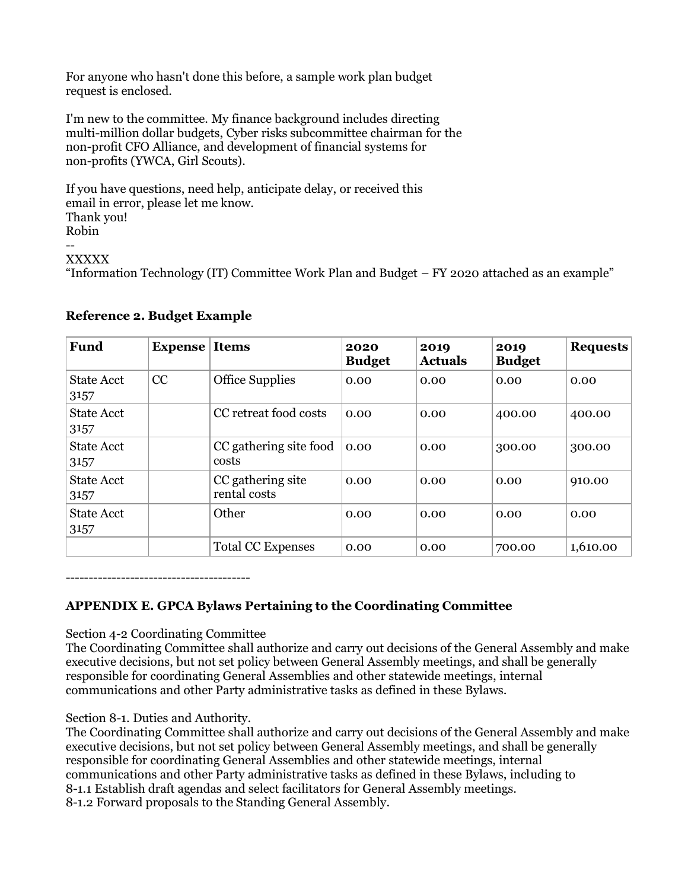For anyone who hasn't done this before, a sample work plan budget request is enclosed.

I'm new to the committee. My finance background includes directing multi-million dollar budgets, Cyber risks subcommittee chairman for the non-profit CFO Alliance, and development of financial systems for non-profits (YWCA, Girl Scouts).

If you have questions, need help, anticipate delay, or received this email in error, please let me know. Thank you! Robin -- XXXXX

"Information Technology (IT) Committee Work Plan and Budget – FY 2020 attached as an example"

| <b>Fund</b>               | <b>Expense</b> | <b>Items</b>                      | 2020<br><b>Budget</b> | 2019<br><b>Actuals</b> | 2019<br><b>Budget</b> | <b>Requests</b> |
|---------------------------|----------------|-----------------------------------|-----------------------|------------------------|-----------------------|-----------------|
| <b>State Acct</b><br>3157 | CC             | <b>Office Supplies</b>            | 0.00                  | 0.00                   | 0.00                  | 0.00            |
| <b>State Acct</b><br>3157 |                | CC retreat food costs             | 0.00                  | 0.00                   | 400.00                | 400.00          |
| <b>State Acct</b><br>3157 |                | CC gathering site food<br>costs   | 0.00                  | 0.00                   | 300.00                | 300.00          |
| <b>State Acct</b><br>3157 |                | CC gathering site<br>rental costs | 0.00                  | 0.00                   | 0.00                  | 910.00          |
| <b>State Acct</b><br>3157 |                | Other                             | 0.00                  | 0.00                   | 0.00                  | 0.00            |
|                           |                | <b>Total CC Expenses</b>          | 0.00                  | 0.00                   | 700.00                | 1,610.00        |

### **Reference 2. Budget Example**

----------------------------------------

# **APPENDIX E. GPCA Bylaws Pertaining to the Coordinating Committee**

Section 4-2 Coordinating Committee

The Coordinating Committee shall authorize and carry out decisions of the General Assembly and make executive decisions, but not set policy between General Assembly meetings, and shall be generally responsible for coordinating General Assemblies and other statewide meetings, internal communications and other Party administrative tasks as defined in these Bylaws.

### Section 8-1. Duties and Authority.

The Coordinating Committee shall authorize and carry out decisions of the General Assembly and make executive decisions, but not set policy between General Assembly meetings, and shall be generally responsible for coordinating General Assemblies and other statewide meetings, internal communications and other Party administrative tasks as defined in these Bylaws, including to 8-1.1 Establish draft agendas and select facilitators for General Assembly meetings. 8-1.2 Forward proposals to the Standing General Assembly.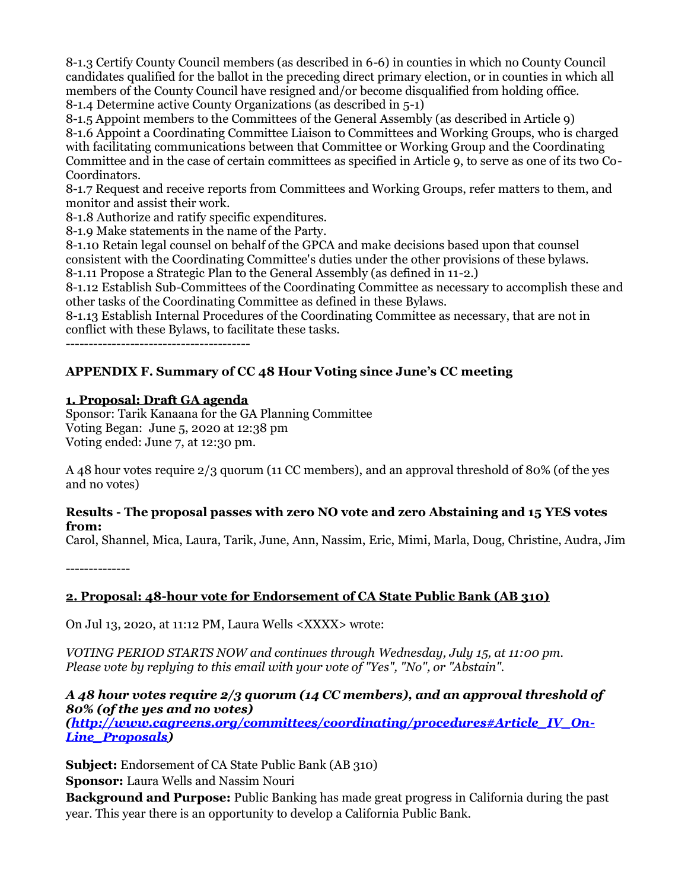8-1.3 Certify County Council members (as described in 6-6) in counties in which no County Council candidates qualified for the ballot in the preceding direct primary election, or in counties in which all members of the County Council have resigned and/or become disqualified from holding office. 8-1.4 Determine active County Organizations (as described in 5-1)

8-1.5 Appoint members to the Committees of the General Assembly (as described in Article 9) 8-1.6 Appoint a Coordinating Committee Liaison to Committees and Working Groups, who is charged with facilitating communications between that Committee or Working Group and the Coordinating Committee and in the case of certain committees as specified in Article 9, to serve as one of its two Co-Coordinators.

8-1.7 Request and receive reports from Committees and Working Groups, refer matters to them, and monitor and assist their work.

8-1.8 Authorize and ratify specific expenditures.

8-1.9 Make statements in the name of the Party.

8-1.10 Retain legal counsel on behalf of the GPCA and make decisions based upon that counsel consistent with the Coordinating Committee's duties under the other provisions of these bylaws. 8-1.11 Propose a Strategic Plan to the General Assembly (as defined in 11-2.)

8-1.12 Establish Sub-Committees of the Coordinating Committee as necessary to accomplish these and other tasks of the Coordinating Committee as defined in these Bylaws.

8-1.13 Establish Internal Procedures of the Coordinating Committee as necessary, that are not in conflict with these Bylaws, to facilitate these tasks.

----------------------------------------

# **APPENDIX F. Summary of CC 48 Hour Voting since June's CC meeting**

### **1. Proposal: Draft GA agenda**

Sponsor: Tarik Kanaana for the GA Planning Committee Voting Began: June 5, 2020 at 12:38 pm Voting ended: June 7, at 12:30 pm.

A 48 hour votes require 2/3 quorum (11 CC members), and an approval threshold of 80% (of the yes and no votes)

#### **Results - The proposal passes with zero NO vote and zero Abstaining and 15 YES votes from:**

Carol, Shannel, Mica, Laura, Tarik, June, Ann, Nassim, Eric, Mimi, Marla, Doug, Christine, Audra, Jim

--------------

# **2. Proposal: 48-hour vote for Endorsement of CA State Public Bank (AB 310)**

On Jul 13, 2020, at 11:12 PM, Laura Wells <XXXX> wrote:

*VOTING PERIOD STARTS NOW and continues through Wednesday, July 15, at 11:00 pm. Please vote by replying to this email with your vote of "Yes", "No", or "Abstain".*

### *A 48 hour votes require 2/3 quorum (14 CC members), and an approval threshold of 80% (of the yes and no votes)*

*[\(http://www.cagreens.org/committees/coordinating/procedures#Article\\_IV\\_On-](http://www.cagreens.org/committees/coordinating/procedures#Article_IV_On-Line_Proposals)[Line\\_Proposals\)](http://www.cagreens.org/committees/coordinating/procedures#Article_IV_On-Line_Proposals)*

**Subject:** Endorsement of CA State Public Bank (AB 310)

**Sponsor:** Laura Wells and Nassim Nouri

**Background and Purpose:** Public Banking has made great progress in California during the past year. This year there is an opportunity to develop a California Public Bank.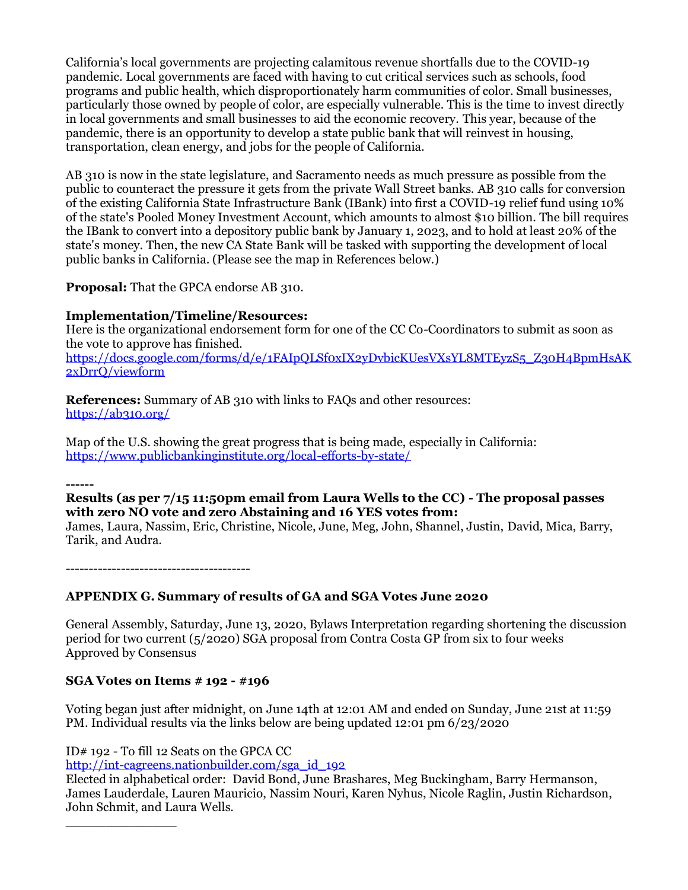California's local governments are projecting calamitous revenue shortfalls due to the COVID-19 pandemic. Local governments are faced with having to cut critical services such as schools, food programs and public health, which disproportionately harm communities of color. Small businesses, particularly those owned by people of color, are especially vulnerable. This is the time to invest directly in local governments and small businesses to aid the economic recovery. This year, because of the pandemic, there is an opportunity to develop a state public bank that will reinvest in housing, transportation, clean energy, and jobs for the people of California.

AB 310 is now in the state legislature, and Sacramento needs as much pressure as possible from the public to counteract the pressure it gets from the private Wall Street banks. AB 310 calls for conversion of the existing California State Infrastructure Bank (IBank) into first a COVID-19 relief fund using 10% of the state's Pooled Money Investment Account, which amounts to almost \$10 billion. The bill requires the IBank to convert into a depository public bank by January 1, 2023, and to hold at least 20% of the state's money. Then, the new CA State Bank will be tasked with supporting the development of local public banks in California. (Please see the map in References below.)

**Proposal:** That the GPCA endorse AB 310.

### **Implementation/Timeline/Resources:**

Here is the organizational endorsement form for one of the CC Co-Coordinators to submit as soon as the vote to approve has finished. [https://docs.google.com/forms/d/e/1FAIpQLSf0xIX2yDvbicKUesVXsYL8MTEyzS5\\_Z30H4BpmHsAK](https://docs.google.com/forms/d/e/1FAIpQLSf0xIX2yDvbicKUesVXsYL8MTEyzS5_Z30H4BpmHsAK2xDrrQ/viewform) [2xDrrQ/viewform](https://docs.google.com/forms/d/e/1FAIpQLSf0xIX2yDvbicKUesVXsYL8MTEyzS5_Z30H4BpmHsAK2xDrrQ/viewform)

**References:** Summary of AB 310 with links to FAQs and other resources:

<https://ab310.org/>

Map of the U.S. showing the great progress that is being made, especially in California: <https://www.publicbankinginstitute.org/local-efforts-by-state/>

**------**

### **Results (as per 7/15 11:50pm email from Laura Wells to the CC) - The proposal passes with zero NO vote and zero Abstaining and 16 YES votes from:**

James, Laura, Nassim, Eric, Christine, Nicole, June, Meg, John, Shannel, Justin, David, Mica, Barry, Tarik, and Audra.

----------------------------------------

# **APPENDIX G. Summary of results of GA and SGA Votes June 2020**

General Assembly, Saturday, June 13, 2020, Bylaws Interpretation regarding shortening the discussion period for two current (5/2020) SGA proposal from Contra Costa GP from six to four weeks Approved by Consensus

### **SGA Votes on Items # 192 - #196**

Voting began just after midnight, on June 14th at 12:01 AM and ended on Sunday, June 21st at 11:59 PM. Individual results via the links below are being updated 12:01 pm 6/23/2020

ID# 192 - To fill 12 Seats on the GPCA CC

\_\_\_\_\_\_\_\_\_\_\_\_\_\_

[http://int-cagreens.nationbuilder.com/sga\\_id\\_192](http://int-cagreens.nationbuilder.com/sga_id_192)

Elected in alphabetical order: David Bond, June Brashares, Meg Buckingham, Barry Hermanson, James Lauderdale, Lauren Mauricio, Nassim Nouri, Karen Nyhus, Nicole Raglin, Justin Richardson, John Schmit, and Laura Wells.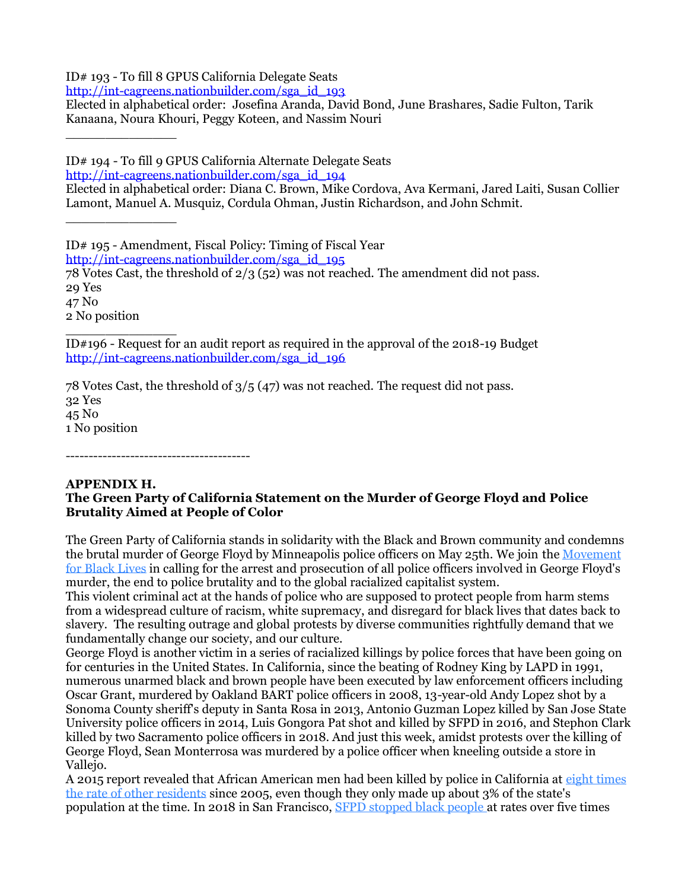ID# 193 - To fill 8 GPUS California Delegate Seats

[http://int-cagreens.nationbuilder.com/sga\\_id\\_193](http://int-cagreens.nationbuilder.com/sga_id_193)

Elected in alphabetical order: Josefina Aranda, David Bond, June Brashares, Sadie Fulton, Tarik Kanaana, Noura Khouri, Peggy Koteen, and Nassim Nouri

ID# 194 - To fill 9 GPUS California Alternate Delegate Seats

[http://int-cagreens.nationbuilder.com/sga\\_id\\_194](http://int-cagreens.nationbuilder.com/sga_id_194)

Elected in alphabetical order: Diana C. Brown, Mike Cordova, Ava Kermani, Jared Laiti, Susan Collier Lamont, Manuel A. Musquiz, Cordula Ohman, Justin Richardson, and John Schmit.

ID# 195 - Amendment, Fiscal Policy: Timing of Fiscal Year

[http://int-cagreens.nationbuilder.com/sga\\_id\\_195](http://int-cagreens.nationbuilder.com/sga_id_195)

78 Votes Cast, the threshold of 2/3 (52) was not reached. The amendment did not pass. 29 Yes

47 No 2 No position

\_\_\_\_\_\_\_\_\_\_\_\_\_\_

\_\_\_\_\_\_\_\_\_\_\_\_\_\_

\_\_\_\_\_\_\_\_\_\_\_\_\_\_ ID#196 - Request for an audit report as required in the approval of the 2018-19 Budget [http://int-cagreens.nationbuilder.com/sga\\_id\\_196](http://int-cagreens.nationbuilder.com/sga_id_196)

78 Votes Cast, the threshold of 3/5 (47) was not reached. The request did not pass. 32 Yes 45 No 1 No position

----------------------------------------

# **APPENDIX H.**

# **The Green Party of California Statement on the Murder of George Floyd and Police Brutality Aimed at People of Color**

The Green Party of California stands in solidarity with the Black and Brown community and condemns the brutal murder of George Floyd by Minneapolis police officers on May 25th. We join the [Movement](https://cagreens.nationbuilder.com/r?u=SJ8pAt4_ZhOsmj1SnIoc8VQ0zar8GgLHqNi6Md73MQE&e=5e71e930818eb795dc21a27657cddbf3&utm_source=cagreens&utm_medium=email&utm_campaign=060520_policebrutality&n=2)  [for Black Lives](https://cagreens.nationbuilder.com/r?u=SJ8pAt4_ZhOsmj1SnIoc8VQ0zar8GgLHqNi6Md73MQE&e=5e71e930818eb795dc21a27657cddbf3&utm_source=cagreens&utm_medium=email&utm_campaign=060520_policebrutality&n=2) in calling for the arrest and prosecution of all police officers involved in George Floyd's murder, the end to police brutality and to the global racialized capitalist system.

This violent criminal act at the hands of police who are supposed to protect people from harm stems from a widespread culture of racism, white supremacy, and disregard for black lives that dates back to slavery. The resulting outrage and global protests by diverse communities rightfully demand that we fundamentally change our society, and our culture.

George Floyd is another victim in a series of racialized killings by police forces that have been going on for centuries in the United States. In California, since the beating of Rodney King by LAPD in 1991, numerous unarmed black and brown people have been executed by law enforcement officers including Oscar Grant, murdered by Oakland BART police officers in 2008, 13-year-old Andy Lopez shot by a Sonoma County sheriff's deputy in Santa Rosa in 2013, Antonio Guzman Lopez killed by San Jose State University police officers in 2014, Luis Gongora Pat shot and killed by SFPD in 2016, and Stephon Clark killed by two Sacramento police officers in 2018. And just this week, amidst protests over the killing of George Floyd, Sean Monterrosa was murdered by a police officer when kneeling outside a store in Vallejo.

A 2015 report revealed that African American men had been killed by police in California at [eight times](https://cagreens.nationbuilder.com/r?u=FECXgvVBAH18GBWRCy8D9bmQjRYvg5RiftfZZQBIKJ-rqfgRiMNYXXTvUf0SCwzMyGALosufJ8AXSA_s58dhNDIjsly5a_jhCMrtfIQ54T8HGZPRv9D9_d07iz7RCNq-63RcdyOg-h0pXJMg44McAw&e=5e71e930818eb795dc21a27657cddbf3&utm_source=cagreens&utm_medium=email&utm_campaign=060520_policebrutality&n=3)  [the rate of other residents](https://cagreens.nationbuilder.com/r?u=FECXgvVBAH18GBWRCy8D9bmQjRYvg5RiftfZZQBIKJ-rqfgRiMNYXXTvUf0SCwzMyGALosufJ8AXSA_s58dhNDIjsly5a_jhCMrtfIQ54T8HGZPRv9D9_d07iz7RCNq-63RcdyOg-h0pXJMg44McAw&e=5e71e930818eb795dc21a27657cddbf3&utm_source=cagreens&utm_medium=email&utm_campaign=060520_policebrutality&n=3) since 2005, even though they only made up about 3% of the state's population at the time. In 2018 in San Francisco, [SFPD stopped black people](https://cagreens.nationbuilder.com/r?u=FECXgvVBAH18GBWRCy8D9bmQjRYvg5RiftfZZQBIKJ8M6AtQcmFZNuxNIO6Q08H4f-85XDA7JZZR9RMCZ_ogX_1xKxXQcNgwF2EEv2k12O9TssKdrUdHMgow99PnHUf2&e=5e71e930818eb795dc21a27657cddbf3&utm_source=cagreens&utm_medium=email&utm_campaign=060520_policebrutality&n=4) at rates over five times